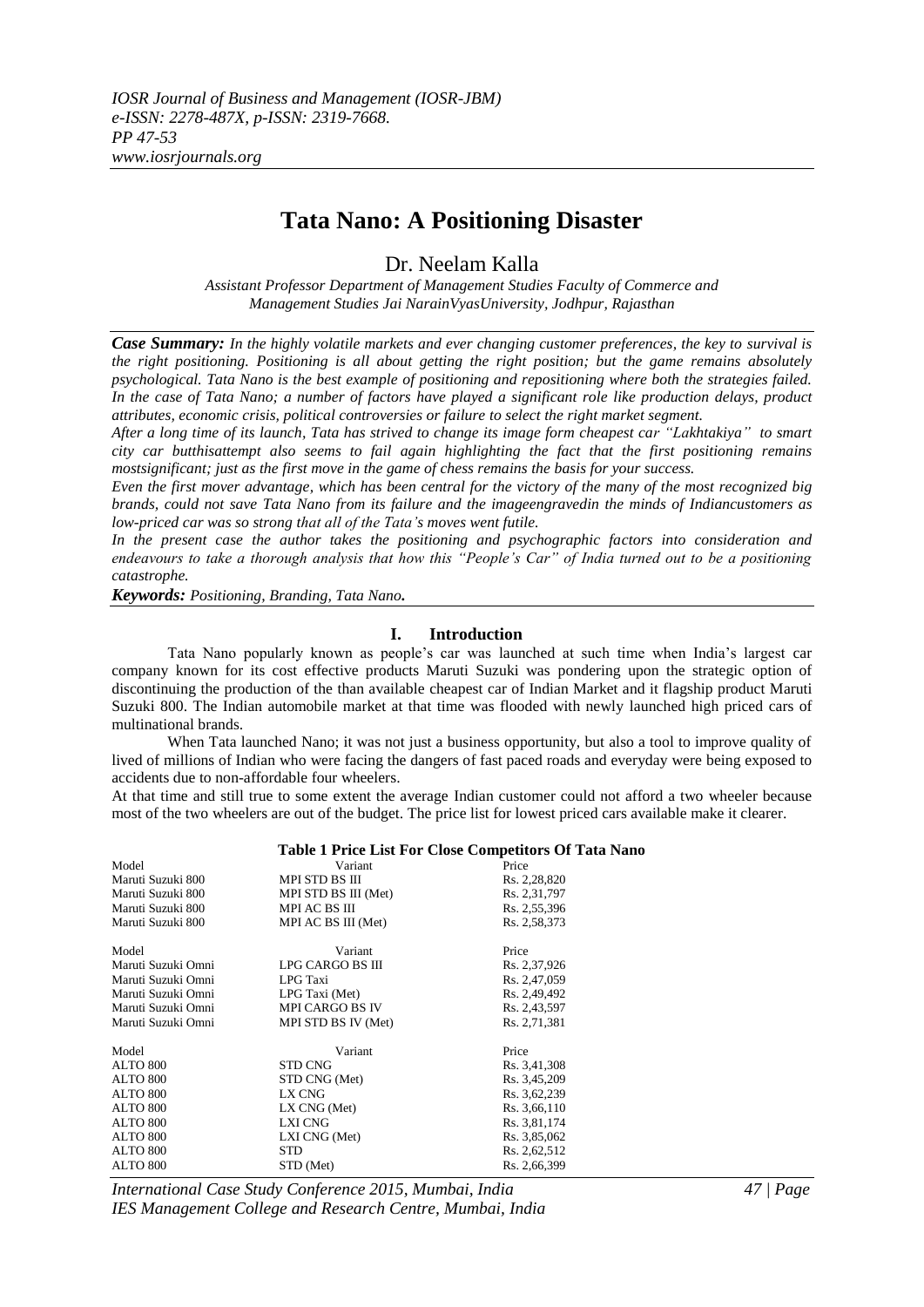# **Tata Nano: A Positioning Disaster**

Dr. Neelam Kalla

*Assistant Professor Department of Management Studies Faculty of Commerce and Management Studies Jai NarainVyasUniversity, Jodhpur, Rajasthan*

*Case Summary: In the highly volatile markets and ever changing customer preferences, the key to survival is the right positioning. Positioning is all about getting the right position; but the game remains absolutely psychological. Tata Nano is the best example of positioning and repositioning where both the strategies failed. In the case of Tata Nano; a number of factors have played a significant role like production delays, product attributes, economic crisis, political controversies or failure to select the right market segment.* 

*After a long time of its launch, Tata has strived to change its image form cheapest car "Lakhtakiya" to smart city car butthisattempt also seems to fail again highlighting the fact that the first positioning remains mostsignificant; just as the first move in the game of chess remains the basis for your success.*

*Even the first mover advantage, which has been central for the victory of the many of the most recognized big brands, could not save Tata Nano from its failure and the imageengravedin the minds of Indiancustomers as low-priced car was so strong that all of the Tata's moves went futile.* 

*In the present case the author takes the positioning and psychographic factors into consideration and endeavours to take a thorough analysis that how this "People's Car" of India turned out to be a positioning catastrophe.*

*Keywords: Positioning, Branding, Tata Nano.*

#### **I. Introduction**

Tata Nano popularly known as people's car was launched at such time when India's largest car company known for its cost effective products Maruti Suzuki was pondering upon the strategic option of discontinuing the production of the than available cheapest car of Indian Market and it flagship product Maruti Suzuki 800. The Indian automobile market at that time was flooded with newly launched high priced cars of multinational brands.

When Tata launched Nano; it was not just a business opportunity, but also a tool to improve quality of lived of millions of Indian who were facing the dangers of fast paced roads and everyday were being exposed to accidents due to non-affordable four wheelers.

At that time and still true to some extent the average Indian customer could not afford a two wheeler because most of the two wheelers are out of the budget. The price list for lowest priced cars available make it clearer.

|                    | <b>Table 1 Price List For Close Competitors Of Tata Nano</b> |              |  |  |  |  |
|--------------------|--------------------------------------------------------------|--------------|--|--|--|--|
| Model              | Variant                                                      | Price        |  |  |  |  |
| Maruti Suzuki 800  | MPI STD BS III                                               | Rs. 2,28,820 |  |  |  |  |
| Maruti Suzuki 800  | MPI STD BS III (Met)                                         | Rs. 2,31,797 |  |  |  |  |
| Maruti Suzuki 800  | MPI AC BS III                                                | Rs. 2,55,396 |  |  |  |  |
| Maruti Suzuki 800  | MPI AC BS III (Met)                                          | Rs. 2,58,373 |  |  |  |  |
| Model              | Variant                                                      | Price        |  |  |  |  |
| Maruti Suzuki Omni | LPG CARGO BS III                                             | Rs. 2,37,926 |  |  |  |  |
| Maruti Suzuki Omni | LPG Taxi                                                     | Rs. 2,47,059 |  |  |  |  |
| Maruti Suzuki Omni | LPG Taxi (Met)                                               | Rs. 2,49,492 |  |  |  |  |
| Maruti Suzuki Omni | <b>MPI CARGO BS IV</b>                                       | Rs. 2,43,597 |  |  |  |  |
| Maruti Suzuki Omni | MPI STD BS IV (Met)                                          | Rs. 2,71,381 |  |  |  |  |
| Model              | Variant                                                      | Price        |  |  |  |  |
| <b>ALTO 800</b>    | STD CNG                                                      | Rs. 3,41,308 |  |  |  |  |
| ALTO 800           | STD CNG (Met)                                                | Rs. 3,45,209 |  |  |  |  |
| ALTO 800           | LX CNG                                                       | Rs. 3,62,239 |  |  |  |  |
| <b>ALTO 800</b>    | LX CNG (Met)                                                 | Rs. 3,66,110 |  |  |  |  |
| ALTO 800           | LXI CNG                                                      | Rs. 3,81,174 |  |  |  |  |
| <b>ALTO 800</b>    | LXI CNG (Met)                                                | Rs. 3,85,062 |  |  |  |  |
| ALTO 800           | <b>STD</b>                                                   | Rs. 2,62,512 |  |  |  |  |
| ALTO 800           | STD (Met)                                                    | Rs. 2,66,399 |  |  |  |  |

*International Case Study Conference 2015, Mumbai, India 47 | Page IES Management College and Research Centre, Mumbai, India*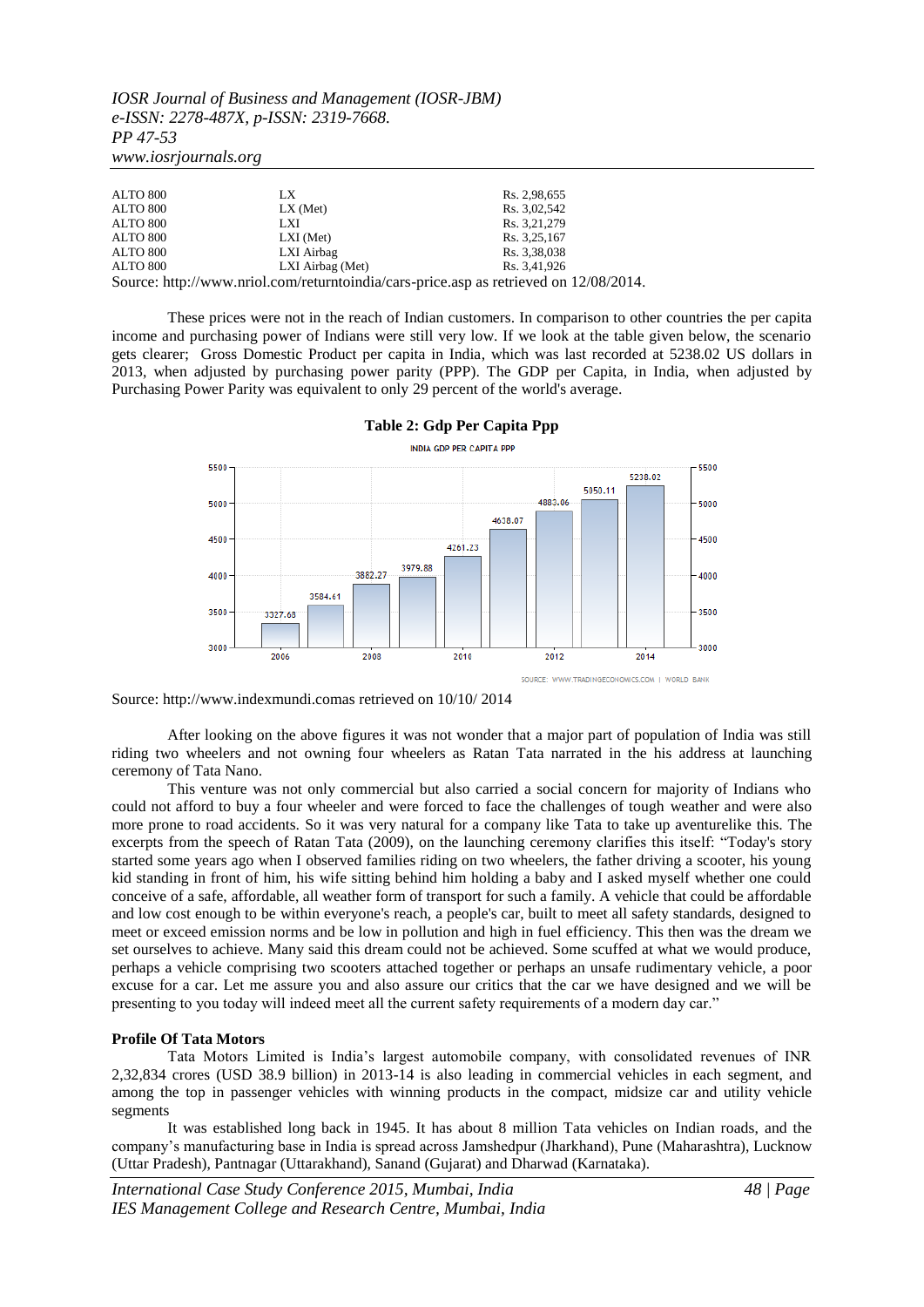*IOSR Journal of Business and Management (IOSR-JBM) e-ISSN: 2278-487X, p-ISSN: 2319-7668. PP 47-53 www.iosrjournals.org*

| ALTO 800 | LX               | Rs. 2,98,655                                                                          |
|----------|------------------|---------------------------------------------------------------------------------------|
| ALTO 800 | $LX$ (Met)       | Rs. 3,02,542                                                                          |
| ALTO 800 | LXI              | Rs. 3,21,279                                                                          |
| ALTO 800 | $LXI$ (Met)      | Rs. 3,25,167                                                                          |
| ALTO 800 | LXI Airbag       | Rs. 3,38,038                                                                          |
| ALTO 800 | LXI Airbag (Met) | Rs. 3,41,926                                                                          |
|          |                  | Source: http://www.nriol.com/returntoindia/cars-price.asp as retrieved on 12/08/2014. |

These prices were not in the reach of Indian customers. In comparison to other countries the per capita income and purchasing power of Indians were still very low. If we look at the table given below, the scenario gets clearer; Gross Domestic Product per capita in India, which was last recorded at 5238.02 US dollars in 2013, when adjusted by purchasing power parity (PPP). The GDP per Capita, in India, when adjusted by Purchasing Power Parity was equivalent to only 29 percent of the world's average.



**Table 2: Gdp Per Capita Ppp**

After looking on the above figures it was not wonder that a major part of population of India was still riding two wheelers and not owning four wheelers as Ratan Tata narrated in the his address at launching ceremony of Tata Nano.

This venture was not only commercial but also carried a social concern for majority of Indians who could not afford to buy a four wheeler and were forced to face the challenges of tough weather and were also more prone to road accidents. So it was very natural for a company like Tata to take up aventurelike this. The excerpts from the speech of Ratan Tata (2009), on the launching ceremony clarifies this itself: "Today's story started some years ago when I observed families riding on two wheelers, the father driving a scooter, his young kid standing in front of him, his wife sitting behind him holding a baby and I asked myself whether one could conceive of a safe, affordable, all weather form of transport for such a family. A vehicle that could be affordable and low cost enough to be within everyone's reach, a people's car, built to meet all safety standards, designed to meet or exceed emission norms and be low in pollution and high in fuel efficiency. This then was the dream we set ourselves to achieve. Many said this dream could not be achieved. Some scuffed at what we would produce, perhaps a vehicle comprising two scooters attached together or perhaps an unsafe rudimentary vehicle, a poor excuse for a car. Let me assure you and also assure our critics that the car we have designed and we will be presenting to you today will indeed meet all the current safety requirements of a modern day car."

### **Profile Of Tata Motors**

Tata Motors Limited is India's largest automobile company, with consolidated revenues of INR 2,32,834 crores (USD 38.9 billion) in 2013-14 is also leading in commercial vehicles in each segment, and among the top in passenger vehicles with winning products in the compact, midsize car and utility vehicle segments

It was established long back in 1945. It has about 8 million Tata vehicles on Indian roads, and the company's manufacturing base in India is spread across Jamshedpur (Jharkhand), Pune (Maharashtra), Lucknow (Uttar Pradesh), Pantnagar (Uttarakhand), Sanand (Gujarat) and Dharwad (Karnataka).

*International Case Study Conference 2015, Mumbai, India 48 | Page IES Management College and Research Centre, Mumbai, India*

Source: [http://www.indexmundi.coma](http://www.indexmundi.com/)s retrieved on 10/10/ 2014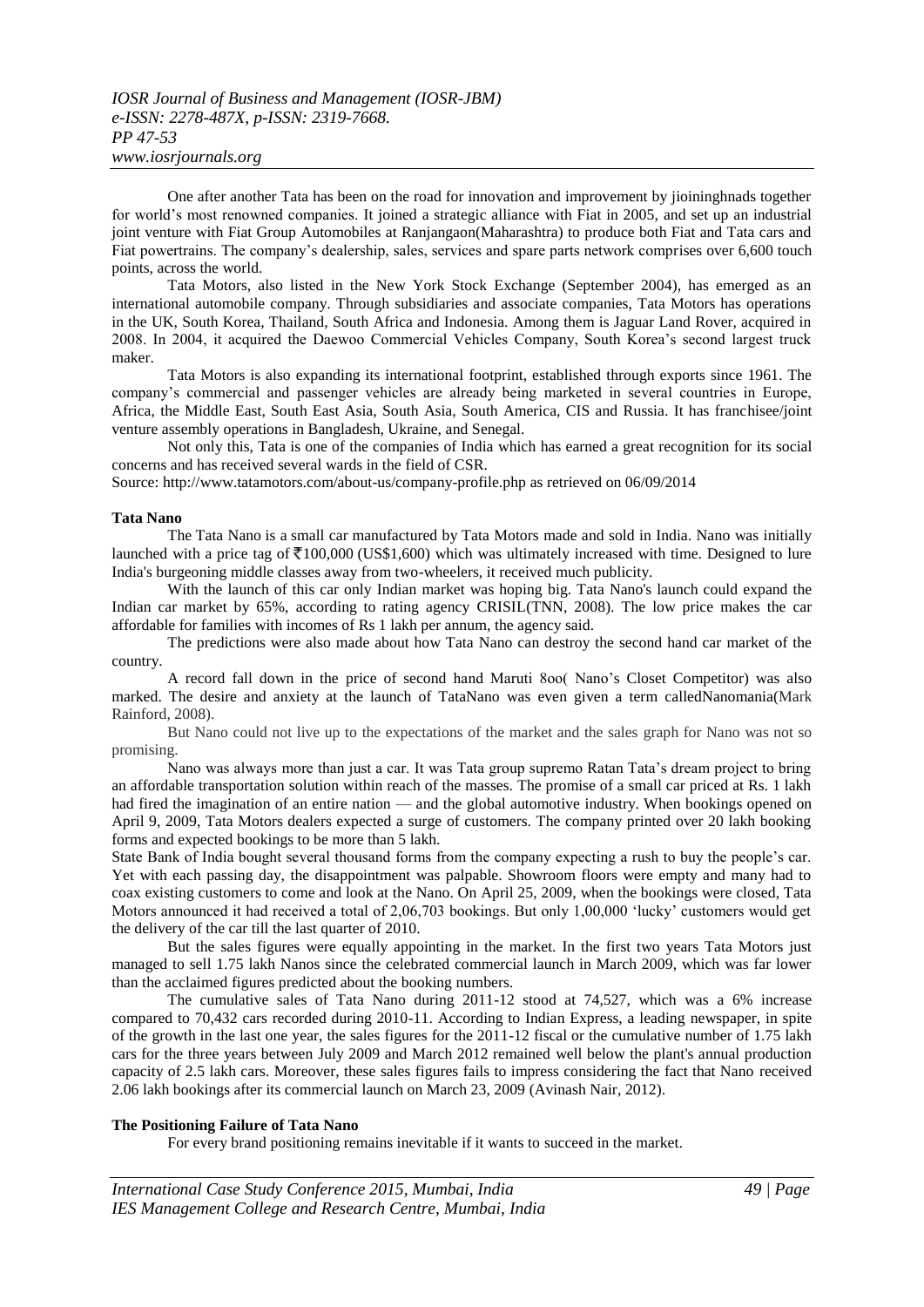One after another Tata has been on the road for innovation and improvement by jioininghnads together for world's most renowned companies. It joined a strategic alliance with Fiat in 2005, and set up an industrial joint venture with Fiat Group Automobiles at Ranjangaon(Maharashtra) to produce both Fiat and Tata cars and Fiat powertrains. The company's dealership, sales, services and spare parts network comprises over 6,600 touch points, across the world.

Tata Motors, also listed in the New York Stock Exchange (September 2004), has emerged as an international automobile company. Through subsidiaries and associate companies, Tata Motors has operations in the UK, South Korea, Thailand, South Africa and Indonesia. Among them is Jaguar Land Rover, acquired in 2008. In 2004, it acquired the Daewoo Commercial Vehicles Company, South Korea's second largest truck maker.

Tata Motors is also expanding its international footprint, established through exports since 1961. The company's commercial and passenger vehicles are already being marketed in several countries in Europe, Africa, the Middle East, South East Asia, South Asia, South America, CIS and Russia. It has franchisee/joint venture assembly operations in Bangladesh, Ukraine, and Senegal.

Not only this, Tata is one of the companies of India which has earned a great recognition for its social concerns and has received several wards in the field of CSR.

Source:<http://www.tatamotors.com/about-us/company-profile.php> as retrieved on 06/09/2014

#### **Tata Nano**

The Tata Nano is a [small car](http://en.wikipedia.org/wiki/City_car) manufactured by [Tata Motors](http://en.wikipedia.org/wiki/Tata_Motors) made and sold in India. Nano was initially launched with a price tag of  $\overline{\xi}100,000$  (US\$1,600) which was ultimately increased with time. Designed to lure India's burgeoning middle classes away from two-wheelers, it received much publicity.

With the launch of this car only Indian market was hoping big. Tata Nano's launch could expand the Indian car market by 65%, according to rating agency CRISIL(TNN, 2008). The low price makes the car affordable for families with incomes of Rs 1 lakh per annum, the agency said.

The predictions were also made about how Tata Nano can destroy the second hand car market of the country.

A record fall down in the price of second hand Maruti 8oo( Nano's Closet Competitor) was also marked. The desire and anxiety at the launch of TataNano was even given a term calledNanomania(Mark Rainford, 2008).

But Nano could not live up to the expectations of the market and the sales graph for Nano was not so promising.

Nano was always more than just a car. It was Tata group supremo Ratan Tata's dream project to bring an affordable transportation solution within reach of the masses. The promise of a small car priced at Rs. 1 lakh had fired the imagination of an entire nation — and the global automotive industry. When bookings opened on April 9, 2009, Tata Motors dealers expected a surge of customers. The company printed over 20 lakh booking forms and expected bookings to be more than 5 lakh.

State Bank of India bought several thousand forms from the company expecting a rush to buy the people's car. Yet with each passing day, the disappointment was palpable. Showroom floors were empty and many had to coax existing customers to come and look at the Nano. On April 25, 2009, when the bookings were closed, Tata Motors announced it had received a total of 2,06,703 bookings. But only 1,00,000 'lucky' customers would get the delivery of the car till the last quarter of 2010.

But the sales figures were equally appointing in the market. In the first two years Tata Motors just managed to sell 1.75 lakh Nanos since the celebrated commercial launch in March 2009, which was far lower than the acclaimed figures predicted about the booking numbers.

The cumulative sales of Tata Nano during 2011-12 stood at 74,527, which was a 6% increase compared to 70,432 cars recorded during 2010-11. According to Indian Express, a leading newspaper, in spite of the growth in the last one year, the sales figures for the 2011-12 fiscal or the cumulative number of 1.75 lakh cars for the three years between July 2009 and March 2012 remained well below the plant's annual production capacity of 2.5 lakh cars. Moreover, these sales figures fails to impress considering the fact that Nano received 2.06 lakh bookings after its commercial launch on March 23, 2009 [\(Avinash Nair,](http://archive.indianexpress.com/columnist/avinash-nair/) 2012).

#### **The Positioning Failure of Tata Nano**

For every brand positioning remains inevitable if it wants to succeed in the market.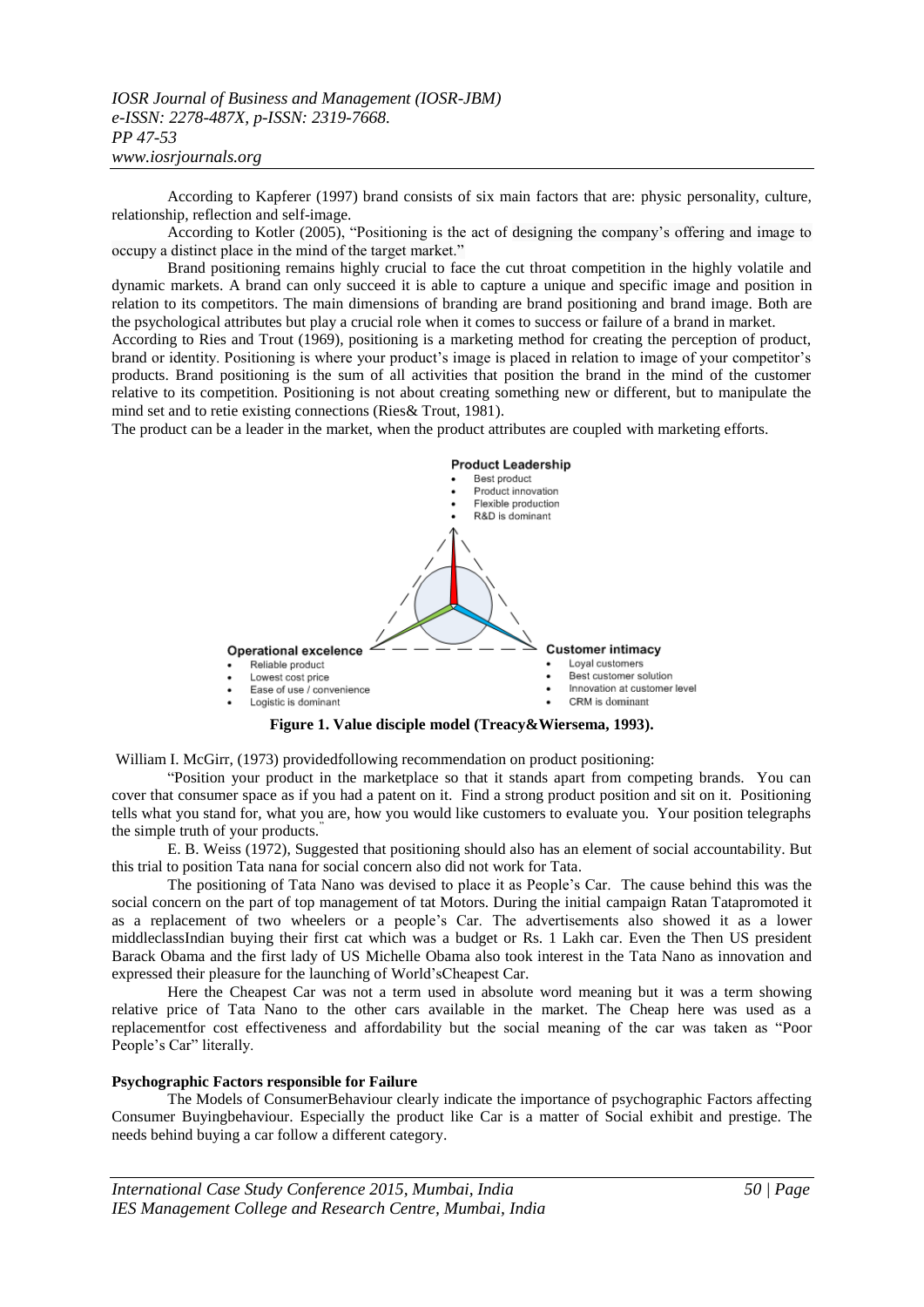## *IOSR Journal of Business and Management (IOSR-JBM) e-ISSN: 2278-487X, p-ISSN: 2319-7668. PP 47-53 www.iosrjournals.org*

According to Kapferer (1997) brand consists of six main factors that are: physic personality, culture, relationship, reflection and self-image.

According to Kotler (2005), "Positioning is the act of designing the company's offering and image to occupy a distinct place in the mind of the target market."

Brand positioning remains highly crucial to face the cut throat competition in the highly volatile and dynamic markets. A brand can only succeed it is able to capture a unique and specific image and position in relation to its competitors. The main dimensions of branding are brand positioning and brand image. Both are the psychological attributes but play a crucial role when it comes to success or failure of a brand in market.

According to Ries and Trout (1969), positioning is a marketing method for creating the perception of product, brand or identity. Positioning is where your product's image is placed in relation to image of your competitor's products. Brand positioning is the sum of all activities that position the brand in the mind of the customer relative to its competition. Positioning is not about creating something new or different, but to manipulate the mind set and to retie existing connections (Ries& Trout, 1981).

The product can be a leader in the market, when the product attributes are coupled with marketing efforts.



**Figure 1. Value disciple model (Treacy&Wiersema, 1993).**

William I. McGirr, (1973) providedfollowing recommendation on product positioning:

―Position your product in the marketplace so that it stands apart from competing brands. You can cover that consumer space as if you had a patent on it. Find a strong product position and sit on it. Positioning tells what you stand for, what you are, how you would like customers to evaluate you. Your position telegraphs the simple truth of your products.

E. B. Weiss (1972), Suggested that positioning should also has an element of social accountability. But this trial to position Tata nana for social concern also did not work for Tata.

The positioning of Tata Nano was devised to place it as People's Car. The cause behind this was the social concern on the part of top management of tat Motors. During the initial campaign Ratan Tatapromoted it as a replacement of two wheelers or a people's Car. The advertisements also showed it as a lower middleclassIndian buying their first cat which was a budget or Rs. 1 Lakh car. Even the Then US president Barack Obama and the first lady of US Michelle Obama also took interest in the Tata Nano as innovation and expressed their pleasure for the launching of World'sCheapest Car.

Here the Cheapest Car was not a term used in absolute word meaning but it was a term showing relative price of Tata Nano to the other cars available in the market. The Cheap here was used as a replacement for cost effectiveness and affordability but the social meaning of the car was taken as "Poor People's Car" literally.

#### **Psychographic Factors responsible for Failure**

The Models of ConsumerBehaviour clearly indicate the importance of psychographic Factors affecting Consumer Buyingbehaviour. Especially the product like Car is a matter of Social exhibit and prestige. The needs behind buying a car follow a different category.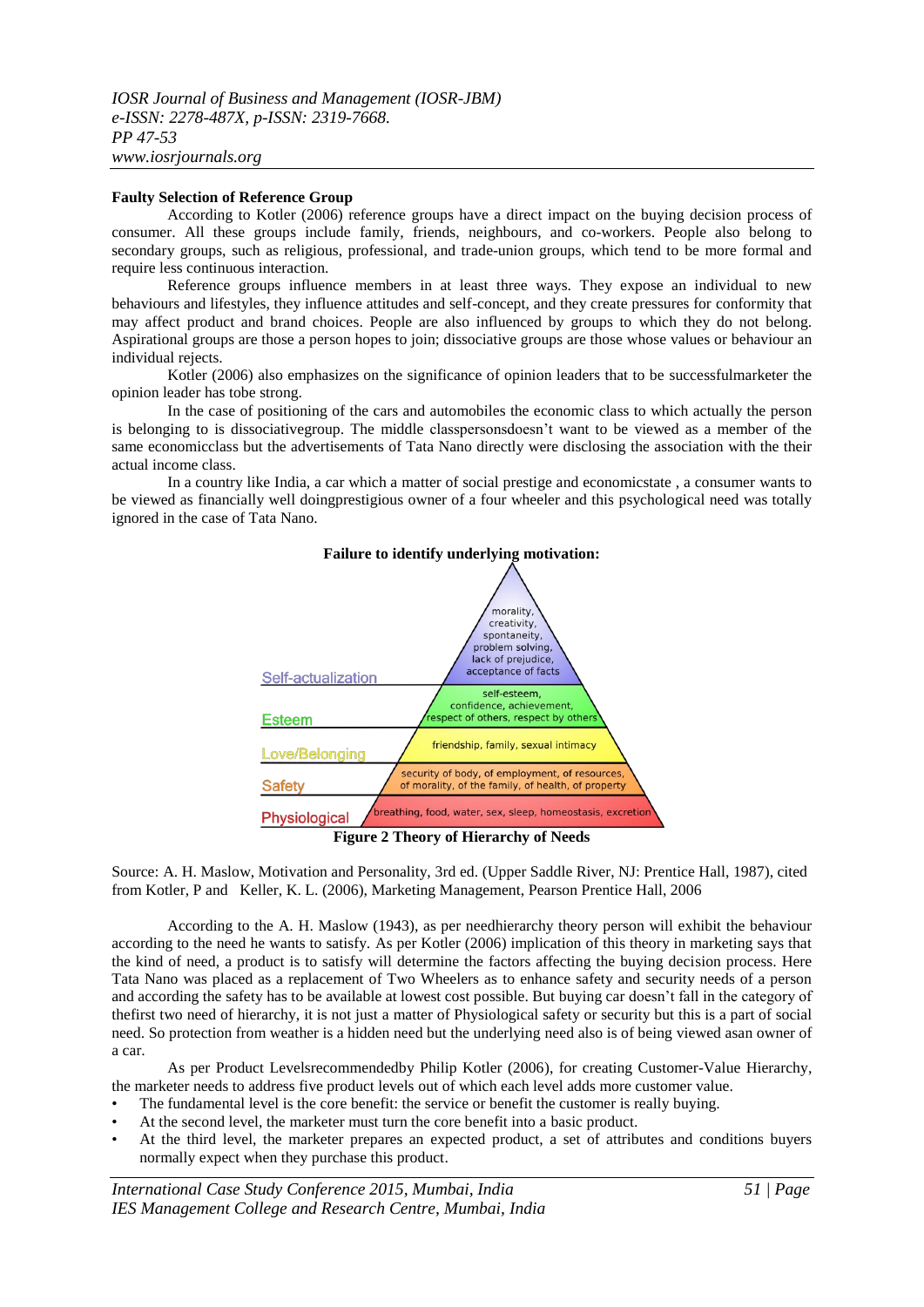#### **Faulty Selection of Reference Group**

According to Kotler (2006) reference groups have a direct impact on the buying decision process of consumer. All these groups include family, friends, neighbours, and co-workers. People also belong to secondary groups, such as religious, professional, and trade-union groups, which tend to be more formal and require less continuous interaction.

Reference groups influence members in at least three ways. They expose an individual to new behaviours and lifestyles, they influence attitudes and self-concept, and they create pressures for conformity that may affect product and brand choices. People are also influenced by groups to which they do not belong. Aspirational groups are those a person hopes to join; dissociative groups are those whose values or behaviour an individual rejects.

Kotler (2006) also emphasizes on the significance of opinion leaders that to be successfulmarketer the opinion leader has tobe strong.

In the case of positioning of the cars and automobiles the economic class to which actually the person is belonging to is dissociativegroup. The middle classpersonsdoesn't want to be viewed as a member of the same economicclass but the advertisements of Tata Nano directly were disclosing the association with the their actual income class.

In a country like India, a car which a matter of social prestige and economicstate , a consumer wants to be viewed as financially well doingprestigious owner of a four wheeler and this psychological need was totally ignored in the case of Tata Nano.



**Figure 2 Theory of Hierarchy of Needs**

Source: A. H. Maslow, Motivation and Personality, 3rd ed. (Upper Saddle River, NJ: Prentice Hall, 1987), cited from [Kotler,](http://www.google.co.in/search?tbo=p&tbm=bks&q=inauthor:%22Philip+Kotler%22) P and [Keller,](http://www.google.co.in/search?tbo=p&tbm=bks&q=inauthor:%22Kevin+Lane+Keller%22) K. L. (2006), Marketing Management, Pearson Prentice Hall, 2006

According to the A. H. Maslow (1943), as per needhierarchy theory person will exhibit the behaviour according to the need he wants to satisfy. As per Kotler (2006) implication of this theory in marketing says that the kind of need, a product is to satisfy will determine the factors affecting the buying decision process. Here Tata Nano was placed as a replacement of Two Wheelers as to enhance safety and security needs of a person and according the safety has to be available at lowest cost possible. But buying car doesn't fall in the category of thefirst two need of hierarchy, it is not just a matter of Physiological safety or security but this is a part of social need. So protection from weather is a hidden need but the underlying need also is of being viewed asan owner of a car.

As per Product Levelsrecommendedby Philip Kotler (2006), for creating Customer-Value Hierarchy, the marketer needs to address five product levels out of which each level adds more customer value.

The fundamental level is the core benefit: the service or benefit the customer is really buying.

- At the second level, the marketer must turn the core benefit into a basic product.
- At the third level, the marketer prepares an expected product, a set of attributes and conditions buyers normally expect when they purchase this product.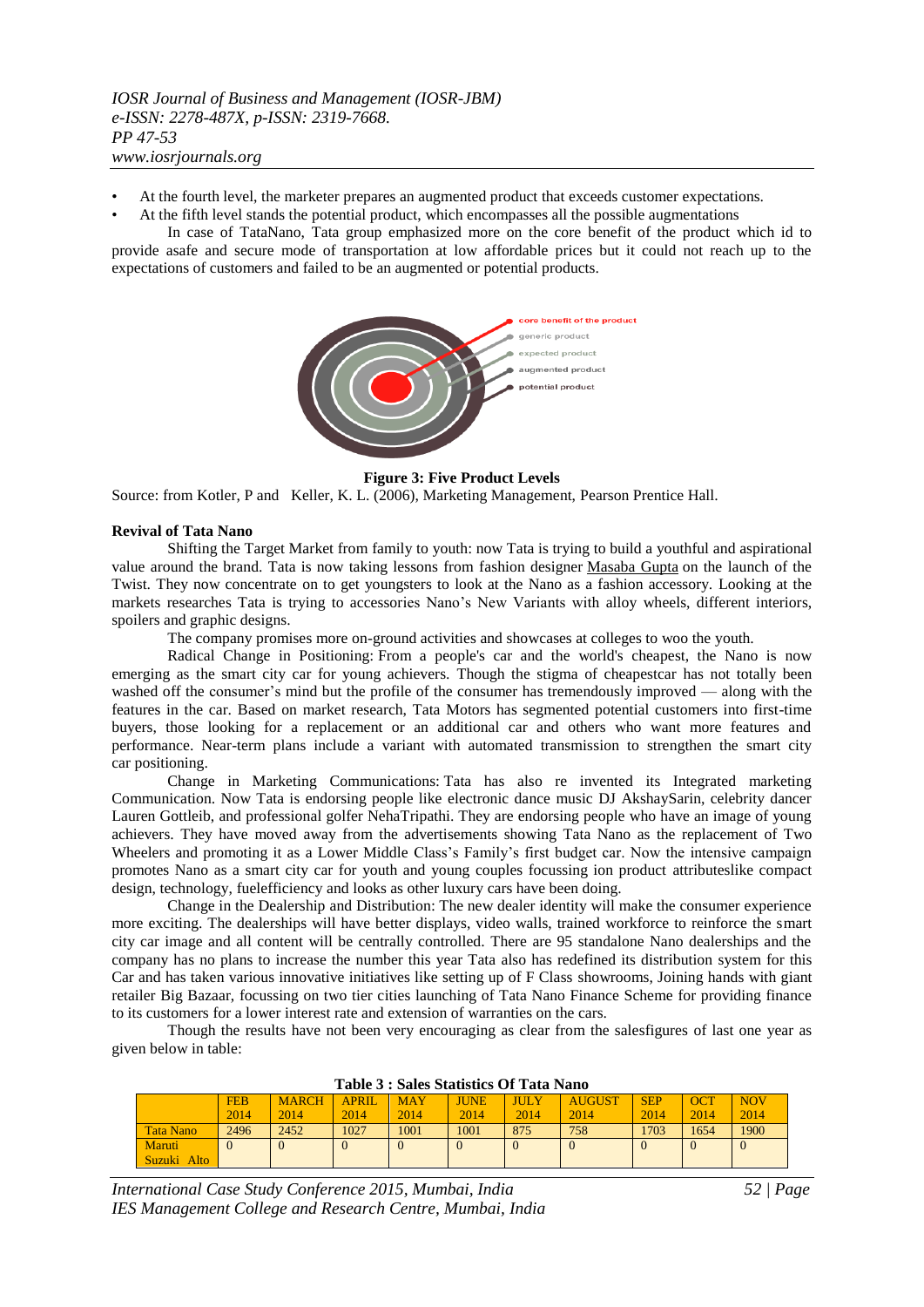- At the fourth level, the marketer prepares an augmented product that exceeds customer expectations.
- At the fifth level stands the potential product, which encompasses all the possible augmentations

In case of TataNano, Tata group emphasized more on the core benefit of the product which id to provide asafe and secure mode of transportation at low affordable prices but it could not reach up to the expectations of customers and failed to be an augmented or potential products.



**Figure 3: Five Product Levels**

Source: from [Kotler,](http://www.google.co.in/search?tbo=p&tbm=bks&q=inauthor:%22Philip+Kotler%22) P and [Keller,](http://www.google.co.in/search?tbo=p&tbm=bks&q=inauthor:%22Kevin+Lane+Keller%22) K. L. (2006), Marketing Management, Pearson Prentice Hall.

#### **Revival of Tata Nano**

Shifting the Target Market from family to youth: now Tata is trying to build a youthful and aspirational value around the brand. Tata is now taking lessons from fashion designer [Masaba](http://economictimes.indiatimes.com/topic/Masaba%20Gupta) Gupta on the launch of the Twist. They now concentrate on to get youngsters to look at the Nano as a fashion accessory. Looking at the markets researches Tata is trying to accessories Nano's New Variants with alloy wheels, different interiors, spoilers and graphic designs.

The company promises more on-ground activities and showcases at colleges to woo the youth.

Radical Change in Positioning: From a people's car and the world's cheapest, the Nano is now emerging as the smart city car for young achievers. Though the stigma of cheapestcar has not totally been washed off the consumer's mind but the profile of the consumer has tremendously improved — along with the features in the car. Based on market research, Tata Motors has segmented potential customers into first-time buyers, those looking for a replacement or an additional car and others who want more features and performance. Near-term plans include a variant with automated transmission to strengthen the smart city car [positioning.](http://economictimes.indiatimes.com/topic/positioning)

Change in Marketing Communications: Tata has also re invented its Integrated marketing Communication. Now Tata is endorsing people like electronic dance music DJ AkshaySarin, celebrity dancer Lauren Gottleib, and professional golfer NehaTripathi. They are endorsing people who have an image of young achievers. They have moved away from the advertisements showing Tata Nano as the replacement of Two Wheelers and promoting it as a Lower Middle Class's Family's first budget car. Now the intensive campaign promotes Nano as a smart city car for youth and young couples focussing ion product attributeslike compact design, technology, fuelefficiency and looks as other luxury cars have been doing.

Change in the Dealership and Distribution: The new dealer identity will make the consumer experience more exciting. The dealerships will have better displays, video walls, trained workforce to reinforce the smart city car image and all content will be centrally controlled. There are 95 standalone Nano dealerships and the company has no plans to increase the number this year Tata also has redefined its distribution system for this Car and has taken various innovative initiatives like setting up of F Class showrooms, Joining hands with giant retailer Big Bazaar, focussing on two tier cities launching of Tata Nano Finance Scheme for providing finance to its customers for a lower interest rate and extension of warranties on the cars.

Though the results have not been very encouraging as clear from the salesfigures of last one year as given below in table:

| Table 3 : Sales Statistics Of Tata Nano |            |              |              |            |             |             |               |            |            |            |
|-----------------------------------------|------------|--------------|--------------|------------|-------------|-------------|---------------|------------|------------|------------|
|                                         | <b>FEB</b> | <b>MARCH</b> | <b>APRIL</b> | <b>MAY</b> | <b>IUNE</b> | <b>JULY</b> | <b>AUGUST</b> | <b>SEP</b> | <b>OCT</b> | <b>NOV</b> |
|                                         | 2014       | 2014         | 2014         | 2014       | 2014        | 2014        | 2014          | 2014       | 2014       | 2014       |
| <b>Tata Nano</b>                        | 2496       | 2452         | 1027         | 1001       | 1001        | 875         | 758           | 1703       | 1654       | 1900       |
| Maruti                                  |            |              |              | $\theta$   |             |             |               |            |            |            |
| Suzuki Alto                             |            |              |              |            |             |             |               |            |            |            |

**Table 3 : Sales Statistics Of Tata Nano**

*International Case Study Conference 2015, Mumbai, India 52 | Page IES Management College and Research Centre, Mumbai, India*